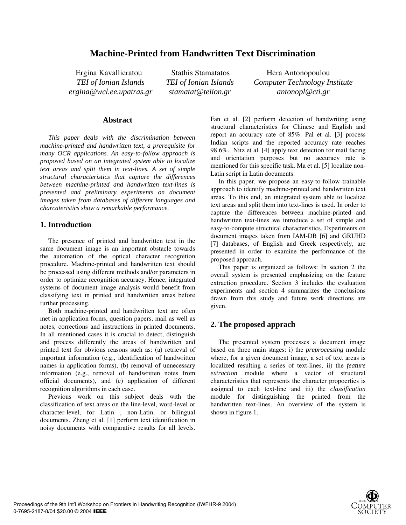# **Machine-Printed from Handwritten Text Discrimination**

 *ergina@wcl.ee.upatras.gr stamatat@teiion.gr antonopl@cti.gr* 

Ergina Kavallieratou Stathis Stamatatos Hera Antonopoulou  *TEI of Ionian Islands TEI of Ionian Islands Computer Technology Institute* 

#### **Abstract**

*This paper deals with the discrimination between machine-printed and handwritten text, a prerequisite for many OCR applications. An easy-to-follow approach is proposed based on an integrated system able to localize text areas and split them in text-lines. A set of simple structural characteristics that capture the differences between machine-printed and handwritten text-lines is presented and preliminary experiments on document images taken from databases of different languages and charcateristics show a remarkable performance.* 

## **1. Introduction**

The presence of printed and handwritten text in the same document image is an important obstacle towards the automation of the optical character recognition procedure. Machine-printed and handwritten text should be processed using different methods and/or parameters in order to optimize recognition accuracy. Hence, integrated systems of document image analysis would benefit from classifying text in printed and handwritten areas before further processing.

Both machine-printed and handwritten text are often met in application forms, question papers, mail as well as notes, corrections and instructions in printed documents. In all mentioned cases it is crucial to detect, distinguish and process differently the areas of handwritten and printed text for obvious reasons such as: (a) retrieval of important information (e.g., identification of handwritten names in application forms), (b) removal of unnecessary information (e.g., removal of handwritten notes from official documents), and (c) application of different recognition algorithms in each case.

Previous work on this subject deals with the classification of text areas on the line-level, word-level or character-level, for Latin , non-Latin, or bilingual documents. Zheng et al. [1] perform text identification in noisy documents with comparative results for all levels.

Fan et al. [2] perform detection of handwriting using structural characteristics for Chinese and English and report an accuracy rate of 85%. Pal et al. [3] process Indian scripts and the reported accuracy rate reaches 98.6%. Nitz et al. [4] apply text detection for mail facing and orientation purposes but no accuracy rate is mentioned for this specific task. Ma et al. [5] localize non-Latin script in Latin documents.

In this paper, we propose an easy-to-follow trainable approach to identify machine-printed and handwritten text areas. To this end, an integrated system able to localize text areas and split them into text-lines is used. In order to capture the differences between machine-printed and handwritten text-lines we introduce a set of simple and easy-to-compute structural characteristics. Experiments on document images taken from IAM-DB [6] and GRUHD [7] databases, of English and Greek respectively, are presented in order to examine the performance of the proposed approach.

This paper is organized as follows: In section 2 the overall system is presented emphasizing on the feature extraction procedure. Section 3 includes the evaluation experiments and section 4 summarizes the conclusions drawn from this study and future work directions are given.

# **2. The proposed apprach**

The presented system processes a document image based on three main stages: i) the *preprocessing* module where, for a given document image, a set of text areas is localized resulting a series of text-lines, ii) the *feature extraction* module where a vector of structural characteristics that represents the character propoerties is assigned to each text-line and iii) the *classification* module for distinguishing the printed from the handwritten text-lines. An overview of the system is shown in figure 1.

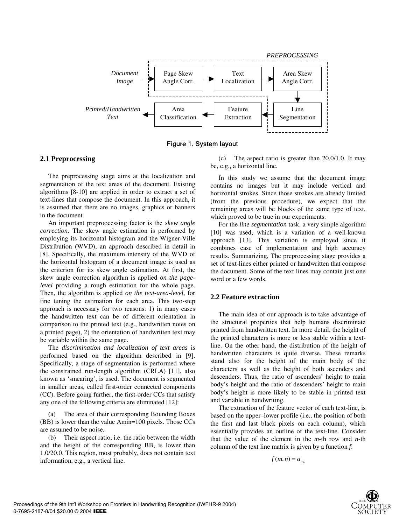

Figure 1. System layout

#### **2.1 Preprocessing**

The preprocessing stage aims at the localization and segmentation of the text areas of the document. Existing algorithms [8-10] are applied in order to extract a set of text-lines that compose the document. In this approach, it is assumed that there are no images, graphics or banners in the document.

An important preproocessing factor is the *skew angle correction*. The skew angle estimation is performed by employing its horizontal histogram and the Wigner-Ville Distribution (WVD), an approach described in detail in [8]. Specifically, the maximum intensity of the WVD of the horizontal histogram of a document image is used as the criterion for its skew angle estimation. At first, the skew angle correction algorithm is applied *on the pagelevel* providing a rough estimation for the whole page. Then, the algorithm is applied *on the text-area-level*, for fine tuning the estimation for each area. This two-step approach is necessary for two reasons: 1) in many cases the handwritten text can be of different orientation in comparison to the printed text (e.g., handwritten notes on a printed page), 2) the orientation of handwritten text may be variable within the same page.

The *discrimination and localization of text areas* is performed based on the algorithm described in [9]. Specifically, a stage of segmentation is performed where the constrained run-length algorithm (CRLA) [11], also known as 'smearing', is used. The document is segmented in smaller areas, called first-order connected components (CC). Before going further, the first-order CCs that satisfy any one of the following criteria are eliminated [12]:

(a) The area of their corresponding Bounding Boxes (BB) is lower than the value Amin=100 pixels. Those CCs are assumed to be noise.

(b) Their aspect ratio, i.e. the ratio between the width and the height of the corresponding BB, is lower than 1.0/20.0. This region, most probably, does not contain text information, e.g., a vertical line.

(c) The aspect ratio is greater than 20.0/1.0. It may be, e.g., a horizontal line.

In this study we assume that the document image contains no images but it may include vertical and horizontal strokes. Since those strokes are already limited (from the previous procedure), we expect that the remaining areas will be blocks of the same type of text, which proved to be true in our experiments.

For the *line segmentation* task, a very simple algorithm [10] was used, which is a variation of a well-known approach [13]. This variation is employed since it combines ease of implementation and high accuracy results. Summarizing, The preprocessing stage provides a set of text-lines either printed or handwritten that compose the document. Some of the text lines may contain just one word or a few words.

#### **2.2 Feature extraction**

The main idea of our approach is to take advantage of the structural properties that help humans discriminate printed from handwritten text. In more detail, the height of the printed characters is more or less stable within a textline. On the other hand, the distribution of the height of handwritten characters is quite diverse. These remarks stand also for the height of the main body of the characters as well as the height of both ascenders and descenders. Thus, the ratio of ascenders' height to main body's height and the ratio of descenders' height to main body's height is more likely to be stable in printed text and variable in handwriting.

The extraction of the feature vector of each text-line, is based on the upper–lower profile (i.e., the position of both the first and last black pixels on each column), which essentially provides an outline of the text-line. Consider that the value of the element in the *m*-th row and *n*-th column of the text line matrix is given by a function *f*:

$$
f(m,n) = a_{mn}
$$

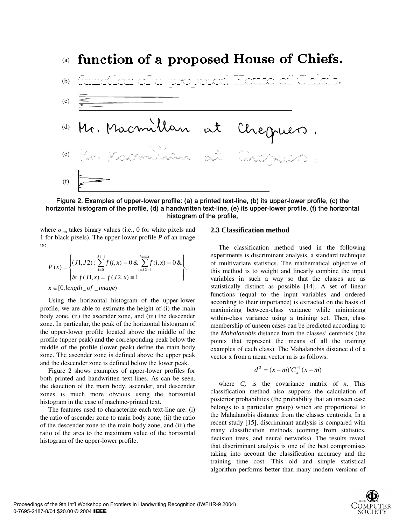

Figure 2. Examples of upper-lower profile: (a) a printed text-line, (b) its upper-lower profile, (c) the horizontal histogram of the profile, (d) a handwritten text-line, (e) its upper-lower profile, (f) the horizontal histogram of the profile,

where *αmn* takes binary values (i.e., 0 for white pixels and 1 for black pixels). The upper-lower profile *P* of an image is:

$$
P(x) = \begin{cases} (J1, J2) : \sum_{i=0}^{J1-1} f(i, x) = 0 & \text{if } \sum_{i=J2+1}^{height} f(i, x) = 0 & \text{if } \sum_{i=J2+1}^{height} f(i, x) = 0 & \text{if } \sum_{i=J2+1}^{height} f(i, x) = 0 & \text{if } \sum_{i=J2+1}^{height} f(i, x) = 0 & \text{if } \sum_{i=J2+1}^{height} f(i, x) = 0 & \text{if } \sum_{i=J2+1}^{height} f(i, x) = 0 & \text{if } \sum_{i=J2+1}^{height} f(i, x) = 0 & \text{if } \sum_{i=J2+1}^{height} f(i, x) = 0 & \text{if } \sum_{i=J2+1}^{height} f(i, x) = 0 & \text{if } \sum_{i=J2+1}^{height} f(i, x) = 0 & \text{if } \sum_{i=J2+1}^{height} f(i, x) = 0 & \text{if } \sum_{i=J2+1}^{height} f(i, x) = 0 & \text{if } \sum_{i=J2+1}^{height} f(i, x) = 0 & \text{if } \sum_{i=J2+1}^{height} f(i, x) = 0 & \text{if } \sum_{i=J2+1}^{height} f(i, x) = 0 & \text{if } \sum_{i=J2+1}^{height} f(i, x) = 0 & \text{if } \sum_{i=J2+1}^{height} f(i, x) = 0 & \text{if } \sum_{i=J2+1}^{height} f(i, x) = 0 & \text{if } \sum_{i=J2+1}^{height} f(i, x) = 0 & \text{if } \sum_{i=J2+1}^{height} f(i, x) = 0 & \text{if } \sum_{i=J2+1}^{height} f(i, x) = 0 & \text{if } \sum_{i=J2+1}^{height} f(i, x) = 0 & \text{if } \sum_{i=J2+1}^{height} f(i, x) = 0 & \text{if } \sum_{i=J2+1}^{height} f(i, x) = 0 & \text{if } \sum_{i=J2+1}^{height} f(i, x) = 0 & \text{if } \sum_{i=J2+1}^{height} f(i, x) = 0 & \text{if } \sum_{i=J2+1}^{height}
$$

Using the horizontal histogram of the upper-lower profile, we are able to estimate the height of (i) the main body zone, (ii) the ascender zone, and (iii) the descender zone. In particular, the peak of the horizontal histogram of the upper-lower profile located above the middle of the profile (upper peak) and the corresponding peak below the middle of the profile (lower peak) define the main body zone. The ascender zone is defined above the upper peak and the descender zone is defined below the lower peak.

Figure 2 shows examples of upper-lower profiles for both printed and handwritten text-lines. As can be seen, the detection of the main body, ascender, and descender zones is much more obvious using the horizontal histogram in the case of machine-printed text.

The features used to characterize each text-line are: (i) the ratio of ascender zone to main body zone, (ii) the ratio of the descender zone to the main body zone, and (iii) the ratio of the area to the maximum value of the horizontal histogram of the upper-lower profile.

#### **2.3 Classification method**

The classification method used in the following experiments is discriminant analysis, a standard technique of multivariate statistics. The mathematical objective of this method is to weight and linearly combine the input variables in such a way so that the classes are as statistically distinct as possible [14]. A set of linear functions (equal to the input variables and ordered according to their importance) is extracted on the basis of maximizing between-class variance while minimizing within-class variance using a training set. Then, class membership of unseen cases can be predicted according to the *Mahalonobis* distance from the classes' centroids (the points that represent the means of all the training examples of each class). The Mahalanobis distance d of a vector x from a mean vector m is as follows:

$$
d^2 = (x - m)'C_x^{-1}(x - m)
$$

where  $C_x$  is the covariance matrix of  $x$ . This classification method also supports the calculation of posterior probabilities (the probability that an unseen case belongs to a particular group) which are proportional to the Mahalanobis distance from the classes centroids. In a recent study [15], discriminant analysis is compared with many classification methods (coming from statistics, decision trees, and neural networks). The results reveal that discriminant analysis is one of the best compromises taking into account the classification accuracy and the training time cost. This old and simple statistical algorithm performs better than many modern versions of

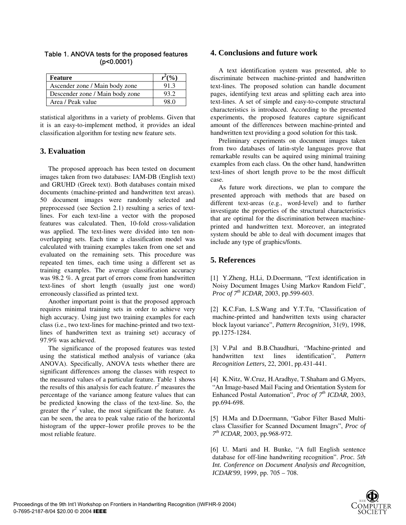| <b>Feature</b>                  |      |
|---------------------------------|------|
| Ascender zone / Main body zone  | 91.3 |
| Descender zone / Main body zone | 93.2 |
| Area / Peak value               | 98 O |

#### Table 1. ANOVA tests for the proposed features (p<0.0001)

statistical algorithms in a variety of problems. Given that it is an easy-to-implement method, it provides an ideal classification algorithm for testing new feature sets.

## **3. Evaluation**

The proposed approach has been tested on document images taken from two databases: IAM-DB (English text) and GRUHD (Greek text). Both databases contain mixed documents (machine-printed and handwritten text areas). 50 document images were randomly selected and preprocessed (see Section 2.1) resulting a series of textlines. For each text-line a vector with the proposed features was calculated. Then, 10-fold cross-validation was applied. The text-lines were divided into ten nonoverlapping sets. Each time a classification model was calculated with training examples taken from one set and evaluated on the remaining sets. This procedure was repeated ten times, each time using a different set as training examples. The average classification accuracy was 98.2 %. A great part of errors come from handwritten text-lines of short length (usually just one word) erroneously classified as printed text.

Another important point is that the proposed approach requires minimal training sets in order to achieve very high accuracy. Using just two training examples for each class (i.e., two text-lines for machine-printed and two textlines of handwritten text as training set) accuracy of 97.9% was achieved.

The significance of the proposed features was tested using the statistical method analysis of variance (aka ANOVA). Specifically, ANOVA tests whether there are significant differences among the classes with respect to the measured values of a particular feature. Table 1 shows the results of this analysis for each feature.  $r^2$  measures the percentage of the variance among feature values that can be predicted knowing the class of the text-line. So, the greater the  $r^2$  value, the most significant the feature. As can be seen, the area to peak value ratio of the horizontal histogram of the upper–lower profile proves to be the most reliable feature.

## **4. Conclusions and future work**

A text identification system was presented, able to discriminate between machine-printed and handwritten text-lines. The proposed solution can handle document pages, identifying text areas and splitting each area into text-lines. A set of simple and easy-to-compute structural characteristics is introduced. According to the presented experiments, the proposed features capture significant amount of the differences between machine-printed and handwritten text providing a good solution for this task.

Preliminary experiments on document images taken from two databases of latin-style languages prove that remarkable results can be aquired using minimal training examples from each class. On the other hand, handwritten text-lines of short length prove to be the most difficult case.

As future work directions, we plan to compare the presented approach with methods that are based on different text-areas (e.g., word-level) and to further investigate the properties of the structural characteristics that are optimal for the discrimination between machineprinted and handwritten text. Moreover, an integrated system should be able to deal with document images that include any type of graphics/fonts.

# **5. References**

[1] Y.Zheng, H.Li, D.Doermann, "Text identification in Noisy Document Images Using Markov Random Field", *Proc of 7th ICDAR,* 2003, pp.599-603.

[2] K.C.Fan, L.S.Wang and Y.T.Tu, "Classification of machine-printed and handwritten texts using character block layout variance", *Pattern Recognition,* 31(9), 1998, pp.1275-1284.

[3] V.Pal and B.B.Chaudhuri, "Machine-printed and handwritten text lines identification", *Pattern Recognition Letters,* 22, 2001, pp.431-441.

[4] K.Nitz, W.Cruz, H.Aradhye, T.Shaham and G.Myers, "An Image-based Mail Facing and Orientation System for Enhanced Postal Automation", *Proc of 7th ICDAR,* 2003, pp.694-698.

[5] H.Ma and D.Doermann, "Gabor Filter Based Multiclass Classifier for Scanned Document Imagrs", *Proc of 7th ICDAR,* 2003, pp.968-972.

[6] U. Marti and H. Bunke, "A full English sentence database for off-line handwriting recognition". *Proc. 5th Int. Conference on Document Analysis and Recognition, ICDAR'99*, 1999, pp. 705 – 708.